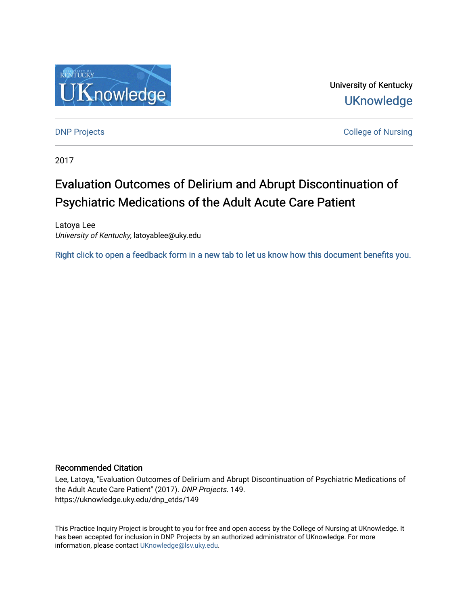

University of Kentucky **UKnowledge** 

[DNP Projects](https://uknowledge.uky.edu/dnp_etds) **College of Nursing** 

2017

# Evaluation Outcomes of Delirium and Abrupt Discontinuation of Psychiatric Medications of the Adult Acute Care Patient

Latoya Lee University of Kentucky, latoyablee@uky.edu

[Right click to open a feedback form in a new tab to let us know how this document benefits you.](https://uky.az1.qualtrics.com/jfe/form/SV_9mq8fx2GnONRfz7)

## Recommended Citation

Lee, Latoya, "Evaluation Outcomes of Delirium and Abrupt Discontinuation of Psychiatric Medications of the Adult Acute Care Patient" (2017). DNP Projects. 149. https://uknowledge.uky.edu/dnp\_etds/149

This Practice Inquiry Project is brought to you for free and open access by the College of Nursing at UKnowledge. It has been accepted for inclusion in DNP Projects by an authorized administrator of UKnowledge. For more information, please contact [UKnowledge@lsv.uky.edu](mailto:UKnowledge@lsv.uky.edu).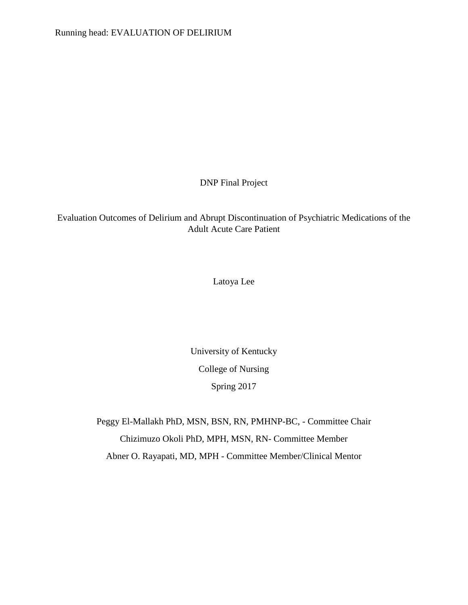DNP Final Project

Evaluation Outcomes of Delirium and Abrupt Discontinuation of Psychiatric Medications of the Adult Acute Care Patient

Latoya Lee

University of Kentucky College of Nursing Spring 2017

Peggy El-Mallakh PhD, MSN, BSN, RN, PMHNP-BC, - Committee Chair Chizimuzo Okoli PhD, MPH, MSN, RN- Committee Member Abner O. Rayapati, MD, MPH - Committee Member/Clinical Mentor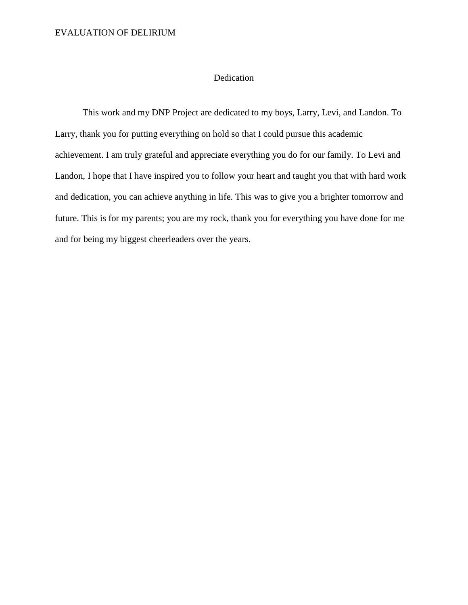## Dedication

This work and my DNP Project are dedicated to my boys, Larry, Levi, and Landon. To Larry, thank you for putting everything on hold so that I could pursue this academic achievement. I am truly grateful and appreciate everything you do for our family. To Levi and Landon, I hope that I have inspired you to follow your heart and taught you that with hard work and dedication, you can achieve anything in life. This was to give you a brighter tomorrow and future. This is for my parents; you are my rock, thank you for everything you have done for me and for being my biggest cheerleaders over the years.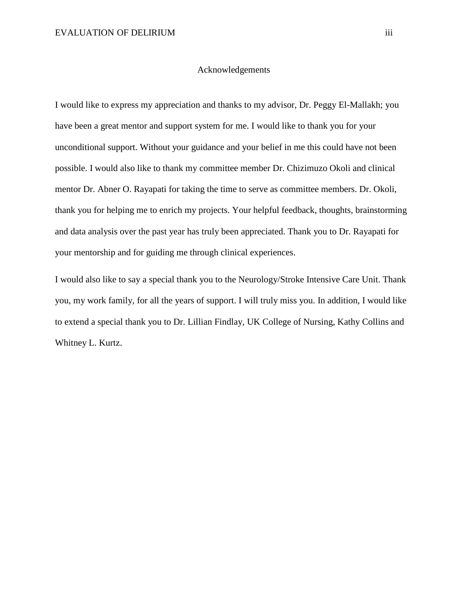### Acknowledgements

I would like to express my appreciation and thanks to my advisor, Dr. Peggy El-Mallakh; you have been a great mentor and support system for me. I would like to thank you for your unconditional support. Without your guidance and your belief in me this could have not been possible. I would also like to thank my committee member Dr. Chizimuzo Okoli and clinical mentor Dr. Abner O. Rayapati for taking the time to serve as committee members. Dr. Okoli, thank you for helping me to enrich my projects. Your helpful feedback, thoughts, brainstorming and data analysis over the past year has truly been appreciated. Thank you to Dr. Rayapati for your mentorship and for guiding me through clinical experiences.

I would also like to say a special thank you to the Neurology/Stroke Intensive Care Unit. Thank you, my work family, for all the years of support. I will truly miss you. In addition, I would like to extend a special thank you to Dr. Lillian Findlay, UK College of Nursing, Kathy Collins and Whitney L. Kurtz.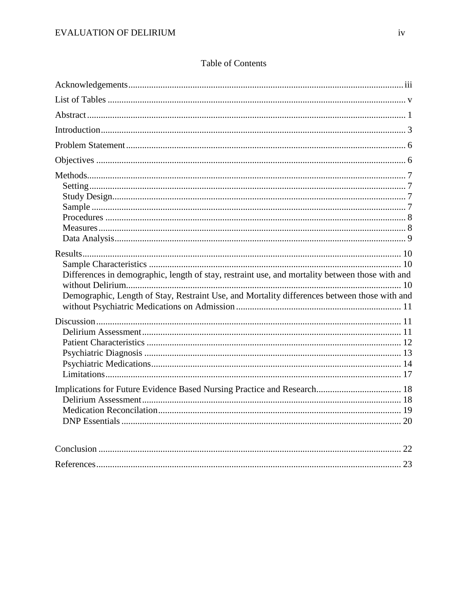| Differences in demographic, length of stay, restraint use, and mortality between those with and<br>Demographic, Length of Stay, Restraint Use, and Mortality differences between those with and |  |
|-------------------------------------------------------------------------------------------------------------------------------------------------------------------------------------------------|--|
|                                                                                                                                                                                                 |  |
|                                                                                                                                                                                                 |  |
|                                                                                                                                                                                                 |  |

# **Table of Contents**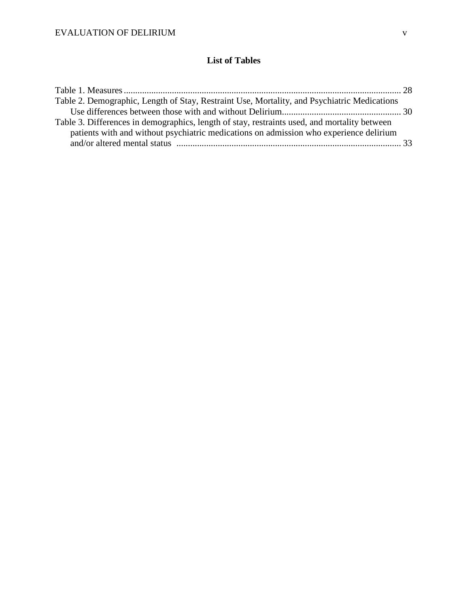# **List of Tables**

| Table 2. Demographic, Length of Stay, Restraint Use, Mortality, and Psychiatric Medications  |  |
|----------------------------------------------------------------------------------------------|--|
|                                                                                              |  |
| Table 3. Differences in demographics, length of stay, restraints used, and mortality between |  |
| patients with and without psychiatric medications on admission who experience delirium       |  |
|                                                                                              |  |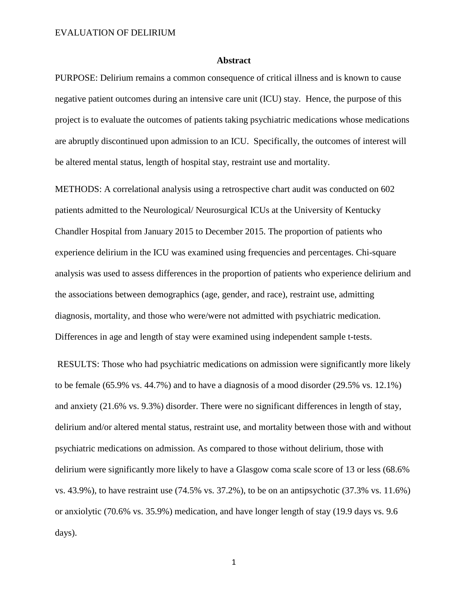#### **Abstract**

PURPOSE: Delirium remains a common consequence of critical illness and is known to cause negative patient outcomes during an intensive care unit (ICU) stay. Hence, the purpose of this project is to evaluate the outcomes of patients taking psychiatric medications whose medications are abruptly discontinued upon admission to an ICU. Specifically, the outcomes of interest will be altered mental status, length of hospital stay, restraint use and mortality.

METHODS: A correlational analysis using a retrospective chart audit was conducted on 602 patients admitted to the Neurological/ Neurosurgical ICUs at the University of Kentucky Chandler Hospital from January 2015 to December 2015. The proportion of patients who experience delirium in the ICU was examined using frequencies and percentages. Chi-square analysis was used to assess differences in the proportion of patients who experience delirium and the associations between demographics (age, gender, and race), restraint use, admitting diagnosis, mortality, and those who were/were not admitted with psychiatric medication. Differences in age and length of stay were examined using independent sample t-tests.

RESULTS: Those who had psychiatric medications on admission were significantly more likely to be female (65.9% vs. 44.7%) and to have a diagnosis of a mood disorder (29.5% vs. 12.1%) and anxiety (21.6% vs. 9.3%) disorder. There were no significant differences in length of stay, delirium and/or altered mental status, restraint use, and mortality between those with and without psychiatric medications on admission. As compared to those without delirium, those with delirium were significantly more likely to have a Glasgow coma scale score of 13 or less (68.6% vs. 43.9%), to have restraint use (74.5% vs. 37.2%), to be on an antipsychotic (37.3% vs. 11.6%) or anxiolytic (70.6% vs. 35.9%) medication, and have longer length of stay (19.9 days vs. 9.6 days).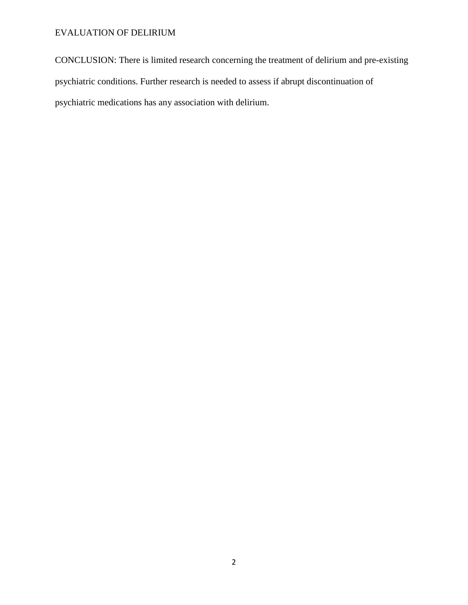CONCLUSION: There is limited research concerning the treatment of delirium and pre-existing psychiatric conditions. Further research is needed to assess if abrupt discontinuation of psychiatric medications has any association with delirium.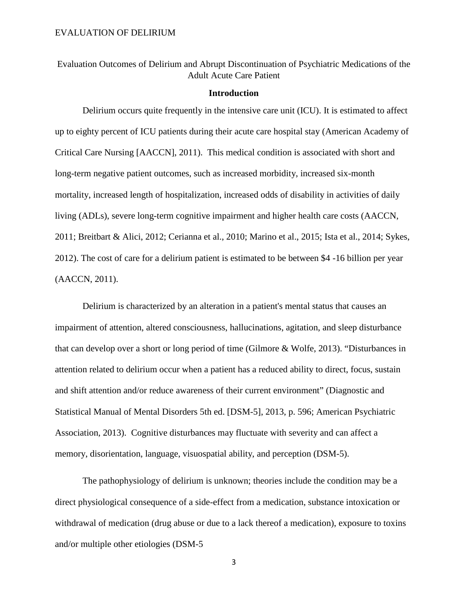Evaluation Outcomes of Delirium and Abrupt Discontinuation of Psychiatric Medications of the Adult Acute Care Patient

## **Introduction**

Delirium occurs quite frequently in the intensive care unit (ICU). It is estimated to affect up to eighty percent of ICU patients during their acute care hospital stay (American Academy of Critical Care Nursing [AACCN], 2011). This medical condition is associated with short and long-term negative patient outcomes, such as increased morbidity, increased six-month mortality, increased length of hospitalization, increased odds of disability in activities of daily living (ADLs), severe long-term cognitive impairment and higher health care costs (AACCN, 2011; Breitbart & Alici, 2012; Cerianna et al., 2010; Marino et al., 2015; Ista et al., 2014; Sykes, 2012). The cost of care for a delirium patient is estimated to be between \$4 -16 billion per year (AACCN, 2011).

Delirium is characterized by an alteration in a patient's mental status that causes an impairment of attention, altered consciousness, hallucinations, agitation, and sleep disturbance that can develop over a short or long period of time (Gilmore & Wolfe, 2013). "Disturbances in attention related to delirium occur when a patient has a reduced ability to direct, focus, sustain and shift attention and/or reduce awareness of their current environment" (Diagnostic and Statistical Manual of Mental Disorders 5th ed. [DSM-5], 2013, p. 596; American Psychiatric Association, 2013). Cognitive disturbances may fluctuate with severity and can affect a memory, disorientation, language, visuospatial ability, and perception (DSM-5).

The pathophysiology of delirium is unknown; theories include the condition may be a direct physiological consequence of a side-effect from a medication, substance intoxication or withdrawal of medication (drug abuse or due to a lack thereof a medication), exposure to toxins and/or multiple other etiologies (DSM-5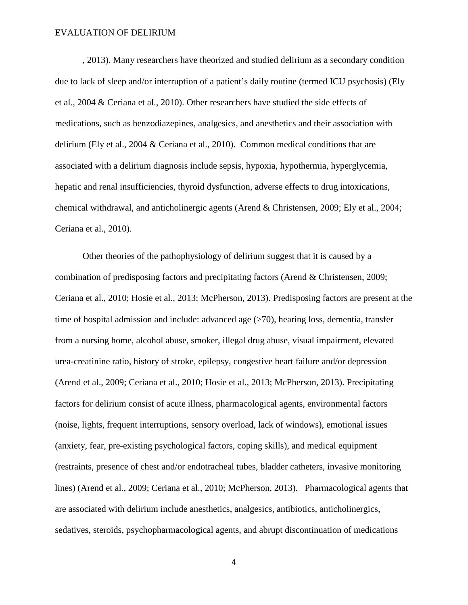, 2013). Many researchers have theorized and studied delirium as a secondary condition due to lack of sleep and/or interruption of a patient's daily routine (termed ICU psychosis) (Ely et al., 2004 & Ceriana et al., 2010). Other researchers have studied the side effects of medications, such as benzodiazepines, analgesics, and anesthetics and their association with delirium (Ely et al., 2004 & Ceriana et al., 2010). Common medical conditions that are associated with a delirium diagnosis include sepsis, hypoxia, hypothermia, hyperglycemia, hepatic and renal insufficiencies, thyroid dysfunction, adverse effects to drug intoxications, chemical withdrawal, and anticholinergic agents (Arend & Christensen, 2009; Ely et al., 2004; Ceriana et al., 2010).

Other theories of the pathophysiology of delirium suggest that it is caused by a combination of predisposing factors and precipitating factors (Arend & Christensen, 2009; Ceriana et al., 2010; Hosie et al., 2013; McPherson, 2013). Predisposing factors are present at the time of hospital admission and include: advanced age (>70), hearing loss, dementia, transfer from a nursing home, alcohol abuse, smoker, illegal drug abuse, visual impairment, elevated urea-creatinine ratio, history of stroke, epilepsy, congestive heart failure and/or depression (Arend et al., 2009; Ceriana et al., 2010; Hosie et al., 2013; McPherson, 2013). Precipitating factors for delirium consist of acute illness, pharmacological agents, environmental factors (noise, lights, frequent interruptions, sensory overload, lack of windows), emotional issues (anxiety, fear, pre-existing psychological factors, coping skills), and medical equipment (restraints, presence of chest and/or endotracheal tubes, bladder catheters, invasive monitoring lines) (Arend et al., 2009; Ceriana et al., 2010; McPherson, 2013). Pharmacological agents that are associated with delirium include anesthetics, analgesics, antibiotics, anticholinergics, sedatives, steroids, psychopharmacological agents, and abrupt discontinuation of medications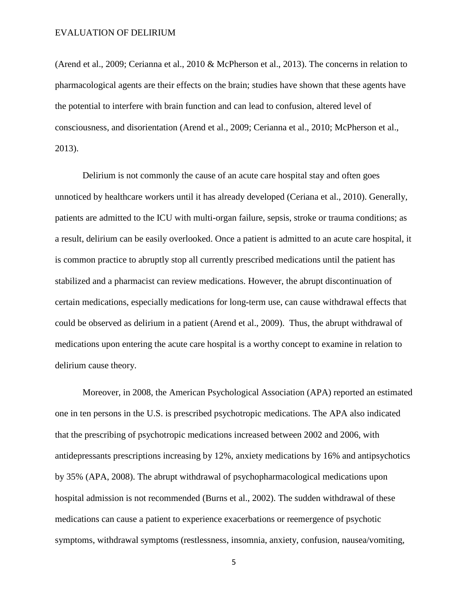(Arend et al., 2009; Cerianna et al., 2010 & McPherson et al., 2013). The concerns in relation to pharmacological agents are their effects on the brain; studies have shown that these agents have the potential to interfere with brain function and can lead to confusion, altered level of consciousness, and disorientation (Arend et al., 2009; Cerianna et al., 2010; McPherson et al., 2013).

Delirium is not commonly the cause of an acute care hospital stay and often goes unnoticed by healthcare workers until it has already developed (Ceriana et al., 2010). Generally, patients are admitted to the ICU with multi-organ failure, sepsis, stroke or trauma conditions; as a result, delirium can be easily overlooked. Once a patient is admitted to an acute care hospital, it is common practice to abruptly stop all currently prescribed medications until the patient has stabilized and a pharmacist can review medications. However, the abrupt discontinuation of certain medications, especially medications for long-term use, can cause withdrawal effects that could be observed as delirium in a patient (Arend et al., 2009). Thus, the abrupt withdrawal of medications upon entering the acute care hospital is a worthy concept to examine in relation to delirium cause theory.

Moreover, in 2008, the American Psychological Association (APA) reported an estimated one in ten persons in the U.S. is prescribed psychotropic medications. The APA also indicated that the prescribing of psychotropic medications increased between 2002 and 2006, with antidepressants prescriptions increasing by 12%, anxiety medications by 16% and antipsychotics by 35% (APA, 2008). The abrupt withdrawal of psychopharmacological medications upon hospital admission is not recommended (Burns et al., 2002). The sudden withdrawal of these medications can cause a patient to experience exacerbations or reemergence of psychotic symptoms, withdrawal symptoms (restlessness, insomnia, anxiety, confusion, nausea/vomiting,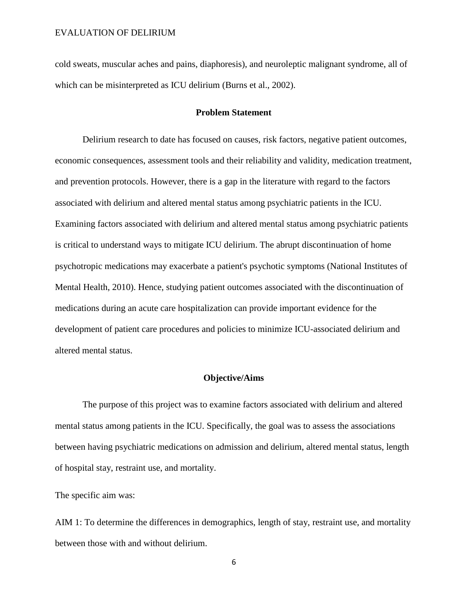cold sweats, muscular aches and pains, diaphoresis), and neuroleptic malignant syndrome, all of which can be misinterpreted as ICU delirium (Burns et al., 2002).

#### **Problem Statement**

Delirium research to date has focused on causes, risk factors, negative patient outcomes, economic consequences, assessment tools and their reliability and validity, medication treatment, and prevention protocols. However, there is a gap in the literature with regard to the factors associated with delirium and altered mental status among psychiatric patients in the ICU. Examining factors associated with delirium and altered mental status among psychiatric patients is critical to understand ways to mitigate ICU delirium. The abrupt discontinuation of home psychotropic medications may exacerbate a patient's psychotic symptoms (National Institutes of Mental Health, 2010). Hence, studying patient outcomes associated with the discontinuation of medications during an acute care hospitalization can provide important evidence for the development of patient care procedures and policies to minimize ICU-associated delirium and altered mental status.

## **Objective/Aims**

The purpose of this project was to examine factors associated with delirium and altered mental status among patients in the ICU. Specifically, the goal was to assess the associations between having psychiatric medications on admission and delirium, altered mental status, length of hospital stay, restraint use, and mortality.

The specific aim was:

AIM 1: To determine the differences in demographics, length of stay, restraint use, and mortality between those with and without delirium.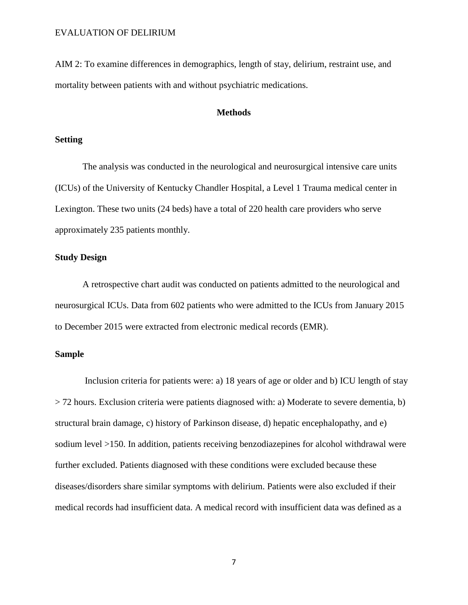AIM 2: To examine differences in demographics, length of stay, delirium, restraint use, and mortality between patients with and without psychiatric medications.

#### **Methods**

## **Setting**

The analysis was conducted in the neurological and neurosurgical intensive care units (ICUs) of the University of Kentucky Chandler Hospital, a Level 1 Trauma medical center in Lexington. These two units (24 beds) have a total of 220 health care providers who serve approximately 235 patients monthly.

## **Study Design**

A retrospective chart audit was conducted on patients admitted to the neurological and neurosurgical ICUs. Data from 602 patients who were admitted to the ICUs from January 2015 to December 2015 were extracted from electronic medical records (EMR).

# **Sample**

Inclusion criteria for patients were: a) 18 years of age or older and b) ICU length of stay > 72 hours. Exclusion criteria were patients diagnosed with: a) Moderate to severe dementia, b) structural brain damage, c) history of Parkinson disease, d) hepatic encephalopathy, and e) sodium level >150. In addition, patients receiving benzodiazepines for alcohol withdrawal were further excluded. Patients diagnosed with these conditions were excluded because these diseases/disorders share similar symptoms with delirium. Patients were also excluded if their medical records had insufficient data. A medical record with insufficient data was defined as a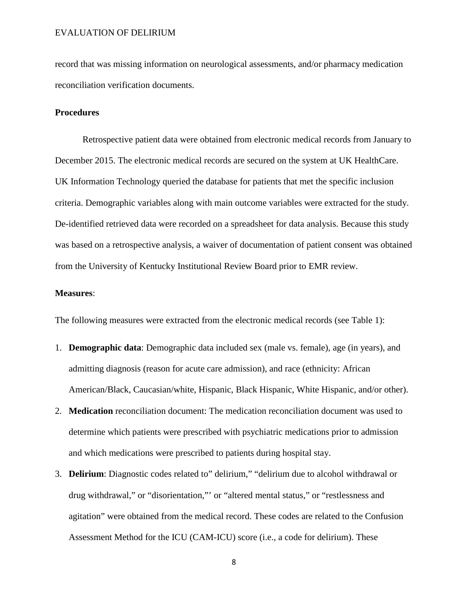record that was missing information on neurological assessments, and/or pharmacy medication reconciliation verification documents.

#### **Procedures**

Retrospective patient data were obtained from electronic medical records from January to December 2015. The electronic medical records are secured on the system at UK HealthCare. UK Information Technology queried the database for patients that met the specific inclusion criteria. Demographic variables along with main outcome variables were extracted for the study. De-identified retrieved data were recorded on a spreadsheet for data analysis. Because this study was based on a retrospective analysis, a waiver of documentation of patient consent was obtained from the University of Kentucky Institutional Review Board prior to EMR review.

#### **Measures**:

The following measures were extracted from the electronic medical records (see Table 1):

- 1. **Demographic data**: Demographic data included sex (male vs. female), age (in years), and admitting diagnosis (reason for acute care admission), and race (ethnicity: African American/Black, Caucasian/white, Hispanic, Black Hispanic, White Hispanic, and/or other).
- 2. **Medication** reconciliation document: The medication reconciliation document was used to determine which patients were prescribed with psychiatric medications prior to admission and which medications were prescribed to patients during hospital stay.
- 3. **Delirium**: Diagnostic codes related to" delirium," "delirium due to alcohol withdrawal or drug withdrawal," or "disorientation,"' or "altered mental status," or "restlessness and agitation" were obtained from the medical record. These codes are related to the Confusion Assessment Method for the ICU (CAM-ICU) score (i.e., a code for delirium). These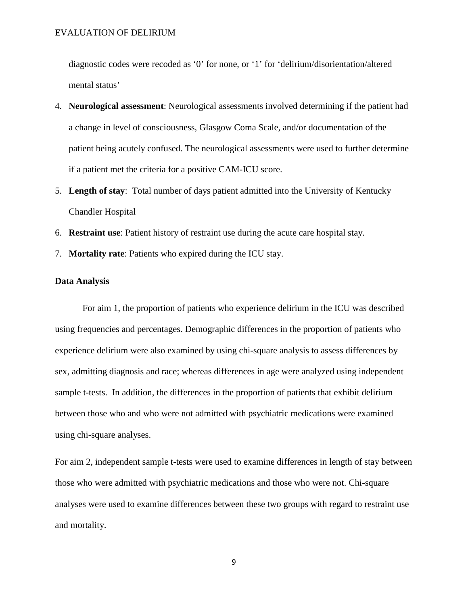diagnostic codes were recoded as '0' for none, or '1' for 'delirium/disorientation/altered mental status'

- 4. **Neurological assessment**: Neurological assessments involved determining if the patient had a change in level of consciousness, Glasgow Coma Scale, and/or documentation of the patient being acutely confused. The neurological assessments were used to further determine if a patient met the criteria for a positive CAM-ICU score.
- 5. **Length of stay**: Total number of days patient admitted into the University of Kentucky Chandler Hospital
- 6. **Restraint use**: Patient history of restraint use during the acute care hospital stay.
- 7. **Mortality rate**: Patients who expired during the ICU stay.

#### **Data Analysis**

For aim 1, the proportion of patients who experience delirium in the ICU was described using frequencies and percentages. Demographic differences in the proportion of patients who experience delirium were also examined by using chi-square analysis to assess differences by sex, admitting diagnosis and race; whereas differences in age were analyzed using independent sample t-tests. In addition, the differences in the proportion of patients that exhibit delirium between those who and who were not admitted with psychiatric medications were examined using chi-square analyses.

For aim 2, independent sample t-tests were used to examine differences in length of stay between those who were admitted with psychiatric medications and those who were not. Chi-square analyses were used to examine differences between these two groups with regard to restraint use and mortality.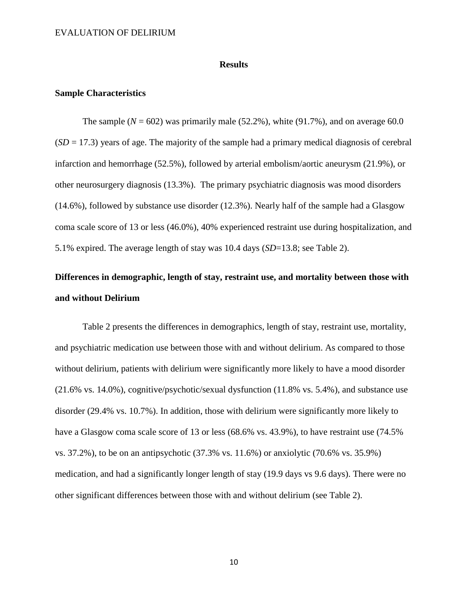#### **Results**

### **Sample Characteristics**

The sample  $(N = 602)$  was primarily male  $(52.2\%)$ , white  $(91.7\%)$ , and on average 60.0  $(SD = 17.3)$  years of age. The majority of the sample had a primary medical diagnosis of cerebral infarction and hemorrhage (52.5%), followed by arterial embolism/aortic aneurysm (21.9%), or other neurosurgery diagnosis (13.3%). The primary psychiatric diagnosis was mood disorders (14.6%), followed by substance use disorder (12.3%). Nearly half of the sample had a Glasgow coma scale score of 13 or less (46.0%), 40% experienced restraint use during hospitalization, and 5.1% expired. The average length of stay was 10.4 days (*SD*=13.8; see Table 2).

# **Differences in demographic, length of stay, restraint use, and mortality between those with and without Delirium**

Table 2 presents the differences in demographics, length of stay, restraint use, mortality, and psychiatric medication use between those with and without delirium. As compared to those without delirium, patients with delirium were significantly more likely to have a mood disorder (21.6% vs. 14.0%), cognitive/psychotic/sexual dysfunction (11.8% vs. 5.4%), and substance use disorder (29.4% vs. 10.7%). In addition, those with delirium were significantly more likely to have a Glasgow coma scale score of 13 or less (68.6% vs. 43.9%), to have restraint use (74.5%) vs. 37.2%), to be on an antipsychotic (37.3% vs. 11.6%) or anxiolytic (70.6% vs. 35.9%) medication, and had a significantly longer length of stay (19.9 days vs 9.6 days). There were no other significant differences between those with and without delirium (see Table 2).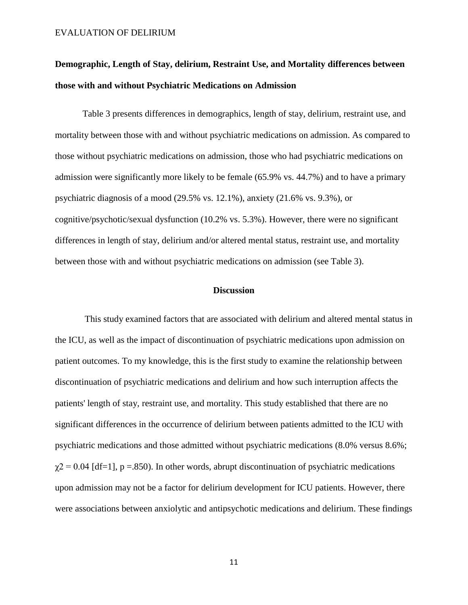# **Demographic, Length of Stay, delirium, Restraint Use, and Mortality differences between those with and without Psychiatric Medications on Admission**

Table 3 presents differences in demographics, length of stay, delirium, restraint use, and mortality between those with and without psychiatric medications on admission. As compared to those without psychiatric medications on admission, those who had psychiatric medications on admission were significantly more likely to be female (65.9% vs. 44.7%) and to have a primary psychiatric diagnosis of a mood (29.5% vs. 12.1%), anxiety (21.6% vs. 9.3%), or cognitive/psychotic/sexual dysfunction (10.2% vs. 5.3%). However, there were no significant differences in length of stay, delirium and/or altered mental status, restraint use, and mortality between those with and without psychiatric medications on admission (see Table 3).

#### **Discussion**

This study examined factors that are associated with delirium and altered mental status in the ICU, as well as the impact of discontinuation of psychiatric medications upon admission on patient outcomes. To my knowledge, this is the first study to examine the relationship between discontinuation of psychiatric medications and delirium and how such interruption affects the patients' length of stay, restraint use, and mortality. This study established that there are no significant differences in the occurrence of delirium between patients admitted to the ICU with psychiatric medications and those admitted without psychiatric medications (8.0% versus 8.6%;  $\gamma$ 2 = 0.04 [df=1], p = 850). In other words, abrupt discontinuation of psychiatric medications upon admission may not be a factor for delirium development for ICU patients. However, there were associations between anxiolytic and antipsychotic medications and delirium. These findings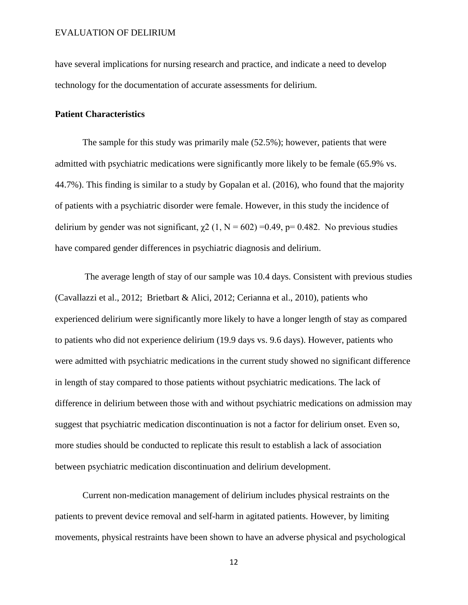have several implications for nursing research and practice, and indicate a need to develop technology for the documentation of accurate assessments for delirium.

## **Patient Characteristics**

The sample for this study was primarily male (52.5%); however, patients that were admitted with psychiatric medications were significantly more likely to be female (65.9% vs. 44.7%). This finding is similar to a study by Gopalan et al. (2016), who found that the majority of patients with a psychiatric disorder were female. However, in this study the incidence of delirium by gender was not significant,  $\chi$ 2 (1, N = 602) =0.49, p= 0.482. No previous studies have compared gender differences in psychiatric diagnosis and delirium.

The average length of stay of our sample was 10.4 days. Consistent with previous studies (Cavallazzi et al., 2012; Brietbart & Alici, 2012; Cerianna et al., 2010), patients who experienced delirium were significantly more likely to have a longer length of stay as compared to patients who did not experience delirium (19.9 days vs. 9.6 days). However, patients who were admitted with psychiatric medications in the current study showed no significant difference in length of stay compared to those patients without psychiatric medications. The lack of difference in delirium between those with and without psychiatric medications on admission may suggest that psychiatric medication discontinuation is not a factor for delirium onset. Even so, more studies should be conducted to replicate this result to establish a lack of association between psychiatric medication discontinuation and delirium development.

Current non-medication management of delirium includes physical restraints on the patients to prevent device removal and self-harm in agitated patients. However, by limiting movements, physical restraints have been shown to have an adverse physical and psychological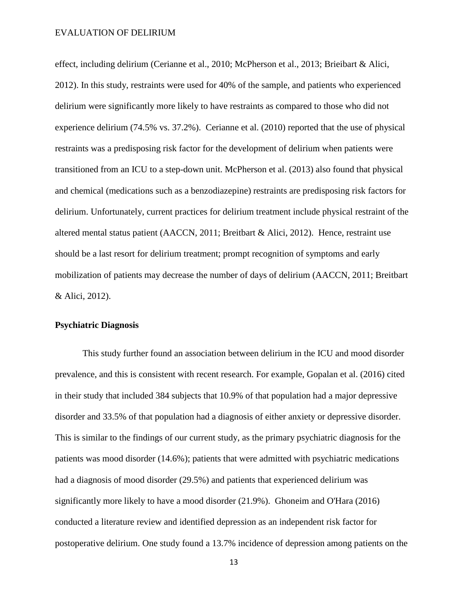effect, including delirium (Cerianne et al., 2010; McPherson et al., 2013; Brieibart & Alici, 2012). In this study, restraints were used for 40% of the sample, and patients who experienced delirium were significantly more likely to have restraints as compared to those who did not experience delirium (74.5% vs. 37.2%). Cerianne et al. (2010) reported that the use of physical restraints was a predisposing risk factor for the development of delirium when patients were transitioned from an ICU to a step-down unit. McPherson et al. (2013) also found that physical and chemical (medications such as a benzodiazepine) restraints are predisposing risk factors for delirium. Unfortunately, current practices for delirium treatment include physical restraint of the altered mental status patient (AACCN, 2011; Breitbart & Alici, 2012). Hence, restraint use should be a last resort for delirium treatment; prompt recognition of symptoms and early mobilization of patients may decrease the number of days of delirium (AACCN, 2011; Breitbart & Alici, 2012).

## **Psychiatric Diagnosis**

This study further found an association between delirium in the ICU and mood disorder prevalence, and this is consistent with recent research. For example, Gopalan et al. (2016) cited in their study that included 384 subjects that 10.9% of that population had a major depressive disorder and 33.5% of that population had a diagnosis of either anxiety or depressive disorder. This is similar to the findings of our current study, as the primary psychiatric diagnosis for the patients was mood disorder (14.6%); patients that were admitted with psychiatric medications had a diagnosis of mood disorder (29.5%) and patients that experienced delirium was significantly more likely to have a mood disorder (21.9%). Ghoneim and O'Hara (2016) conducted a literature review and identified depression as an independent risk factor for postoperative delirium. One study found a 13.7% incidence of depression among patients on the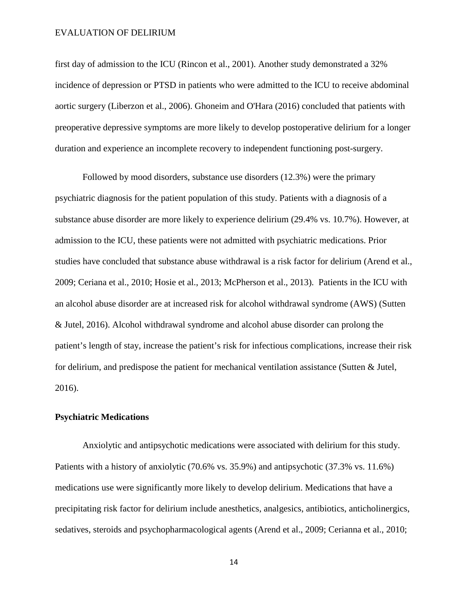first day of admission to the ICU (Rincon et al., 2001). Another study demonstrated a 32% incidence of depression or PTSD in patients who were admitted to the ICU to receive abdominal aortic surgery (Liberzon et al., 2006). Ghoneim and O'Hara (2016) concluded that patients with preoperative depressive symptoms are more likely to develop postoperative delirium for a longer duration and experience an incomplete recovery to independent functioning post-surgery.

Followed by mood disorders, substance use disorders (12.3%) were the primary psychiatric diagnosis for the patient population of this study. Patients with a diagnosis of a substance abuse disorder are more likely to experience delirium (29.4% vs. 10.7%). However, at admission to the ICU, these patients were not admitted with psychiatric medications. Prior studies have concluded that substance abuse withdrawal is a risk factor for delirium (Arend et al., 2009; Ceriana et al., 2010; Hosie et al., 2013; McPherson et al., 2013). Patients in the ICU with an alcohol abuse disorder are at increased risk for alcohol withdrawal syndrome (AWS) (Sutten & Jutel, 2016). Alcohol withdrawal syndrome and alcohol abuse disorder can prolong the patient's length of stay, increase the patient's risk for infectious complications, increase their risk for delirium, and predispose the patient for mechanical ventilation assistance (Sutten & Jutel, 2016).

## **Psychiatric Medications**

Anxiolytic and antipsychotic medications were associated with delirium for this study. Patients with a history of anxiolytic (70.6% vs. 35.9%) and antipsychotic (37.3% vs. 11.6%) medications use were significantly more likely to develop delirium. Medications that have a precipitating risk factor for delirium include anesthetics, analgesics, antibiotics, anticholinergics, sedatives, steroids and psychopharmacological agents (Arend et al., 2009; Cerianna et al., 2010;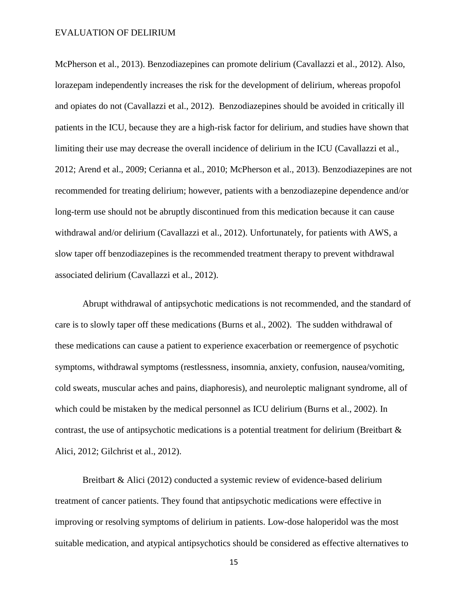McPherson et al., 2013). Benzodiazepines can promote delirium (Cavallazzi et al., 2012). Also, lorazepam independently increases the risk for the development of delirium, whereas propofol and opiates do not (Cavallazzi et al., 2012). Benzodiazepines should be avoided in critically ill patients in the ICU, because they are a high-risk factor for delirium, and studies have shown that limiting their use may decrease the overall incidence of delirium in the ICU (Cavallazzi et al., 2012; Arend et al., 2009; Cerianna et al., 2010; McPherson et al., 2013). Benzodiazepines are not recommended for treating delirium; however, patients with a benzodiazepine dependence and/or long-term use should not be abruptly discontinued from this medication because it can cause withdrawal and/or delirium (Cavallazzi et al., 2012). Unfortunately, for patients with AWS, a slow taper off benzodiazepines is the recommended treatment therapy to prevent withdrawal associated delirium (Cavallazzi et al., 2012).

Abrupt withdrawal of antipsychotic medications is not recommended, and the standard of care is to slowly taper off these medications (Burns et al., 2002). The sudden withdrawal of these medications can cause a patient to experience exacerbation or reemergence of psychotic symptoms, withdrawal symptoms (restlessness, insomnia, anxiety, confusion, nausea/vomiting, cold sweats, muscular aches and pains, diaphoresis), and neuroleptic malignant syndrome, all of which could be mistaken by the medical personnel as ICU delirium (Burns et al., 2002). In contrast, the use of antipsychotic medications is a potential treatment for delirium (Breitbart  $\&$ Alici, 2012; Gilchrist et al., 2012).

Breitbart & Alici (2012) conducted a systemic review of evidence-based delirium treatment of cancer patients. They found that antipsychotic medications were effective in improving or resolving symptoms of delirium in patients. Low-dose haloperidol was the most suitable medication, and atypical antipsychotics should be considered as effective alternatives to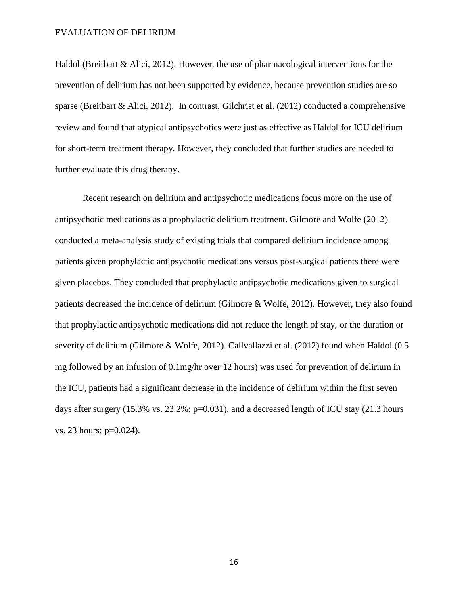Haldol (Breitbart & Alici, 2012). However, the use of pharmacological interventions for the prevention of delirium has not been supported by evidence, because prevention studies are so sparse (Breitbart & Alici, 2012). In contrast, Gilchrist et al. (2012) conducted a comprehensive review and found that atypical antipsychotics were just as effective as Haldol for ICU delirium for short-term treatment therapy. However, they concluded that further studies are needed to further evaluate this drug therapy.

Recent research on delirium and antipsychotic medications focus more on the use of antipsychotic medications as a prophylactic delirium treatment. Gilmore and Wolfe (2012) conducted a meta-analysis study of existing trials that compared delirium incidence among patients given prophylactic antipsychotic medications versus post-surgical patients there were given placebos. They concluded that prophylactic antipsychotic medications given to surgical patients decreased the incidence of delirium (Gilmore & Wolfe, 2012). However, they also found that prophylactic antipsychotic medications did not reduce the length of stay, or the duration or severity of delirium (Gilmore & Wolfe, 2012). Callvallazzi et al. (2012) found when Haldol (0.5 mg followed by an infusion of 0.1mg/hr over 12 hours) was used for prevention of delirium in the ICU, patients had a significant decrease in the incidence of delirium within the first seven days after surgery (15.3% vs. 23.2%;  $p=0.031$ ), and a decreased length of ICU stay (21.3 hours vs. 23 hours; p=0.024).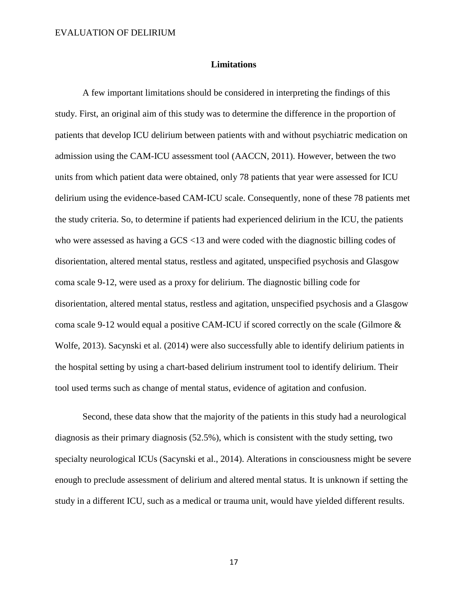#### **Limitations**

A few important limitations should be considered in interpreting the findings of this study. First, an original aim of this study was to determine the difference in the proportion of patients that develop ICU delirium between patients with and without psychiatric medication on admission using the CAM-ICU assessment tool (AACCN, 2011). However, between the two units from which patient data were obtained, only 78 patients that year were assessed for ICU delirium using the evidence-based CAM-ICU scale. Consequently, none of these 78 patients met the study criteria. So, to determine if patients had experienced delirium in the ICU, the patients who were assessed as having a GCS <13 and were coded with the diagnostic billing codes of disorientation, altered mental status, restless and agitated, unspecified psychosis and Glasgow coma scale 9-12, were used as a proxy for delirium. The diagnostic billing code for disorientation, altered mental status, restless and agitation, unspecified psychosis and a Glasgow coma scale 9-12 would equal a positive CAM-ICU if scored correctly on the scale (Gilmore & Wolfe, 2013). Sacynski et al. (2014) were also successfully able to identify delirium patients in the hospital setting by using a chart-based delirium instrument tool to identify delirium. Their tool used terms such as change of mental status, evidence of agitation and confusion.

Second, these data show that the majority of the patients in this study had a neurological diagnosis as their primary diagnosis (52.5%), which is consistent with the study setting, two specialty neurological ICUs (Sacynski et al., 2014). Alterations in consciousness might be severe enough to preclude assessment of delirium and altered mental status. It is unknown if setting the study in a different ICU, such as a medical or trauma unit, would have yielded different results.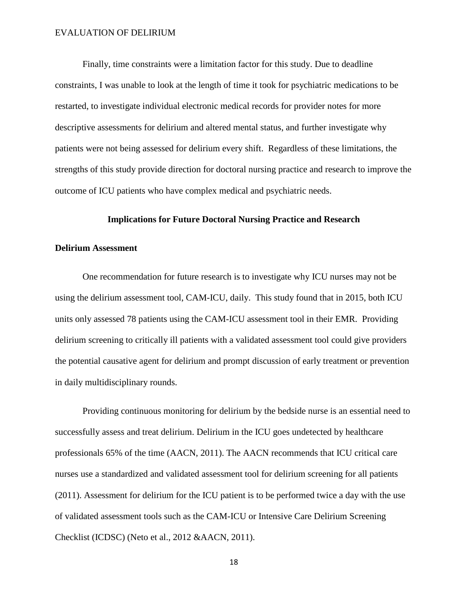Finally, time constraints were a limitation factor for this study. Due to deadline constraints, I was unable to look at the length of time it took for psychiatric medications to be restarted, to investigate individual electronic medical records for provider notes for more descriptive assessments for delirium and altered mental status, and further investigate why patients were not being assessed for delirium every shift. Regardless of these limitations, the strengths of this study provide direction for doctoral nursing practice and research to improve the outcome of ICU patients who have complex medical and psychiatric needs.

## **Implications for Future Doctoral Nursing Practice and Research**

#### **Delirium Assessment**

One recommendation for future research is to investigate why ICU nurses may not be using the delirium assessment tool, CAM-ICU, daily. This study found that in 2015, both ICU units only assessed 78 patients using the CAM-ICU assessment tool in their EMR. Providing delirium screening to critically ill patients with a validated assessment tool could give providers the potential causative agent for delirium and prompt discussion of early treatment or prevention in daily multidisciplinary rounds.

Providing continuous monitoring for delirium by the bedside nurse is an essential need to successfully assess and treat delirium. Delirium in the ICU goes undetected by healthcare professionals 65% of the time (AACN, 2011). The AACN recommends that ICU critical care nurses use a standardized and validated assessment tool for delirium screening for all patients (2011). Assessment for delirium for the ICU patient is to be performed twice a day with the use of validated assessment tools such as the CAM-ICU or Intensive Care Delirium Screening Checklist (ICDSC) (Neto et al., 2012 &AACN, 2011).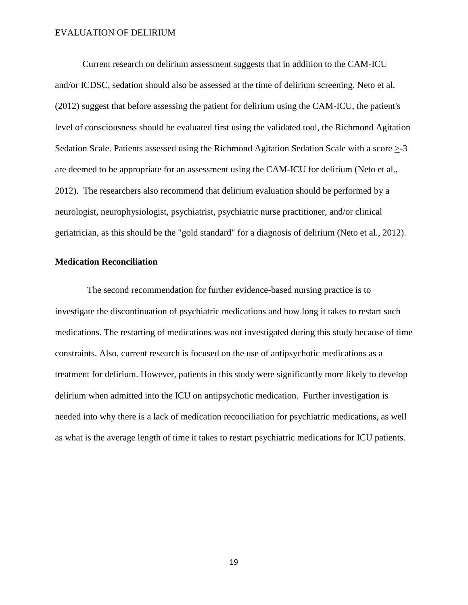Current research on delirium assessment suggests that in addition to the CAM-ICU and/or ICDSC, sedation should also be assessed at the time of delirium screening. Neto et al. (2012) suggest that before assessing the patient for delirium using the CAM-ICU, the patient's level of consciousness should be evaluated first using the validated tool, the Richmond Agitation Sedation Scale. Patients assessed using the Richmond Agitation Sedation Scale with a score >-3 are deemed to be appropriate for an assessment using the CAM-ICU for delirium (Neto et al., 2012). The researchers also recommend that delirium evaluation should be performed by a neurologist, neurophysiologist, psychiatrist, psychiatric nurse practitioner, and/or clinical geriatrician, as this should be the "gold standard" for a diagnosis of delirium (Neto et al., 2012).

### **Medication Reconciliation**

 The second recommendation for further evidence-based nursing practice is to investigate the discontinuation of psychiatric medications and how long it takes to restart such medications. The restarting of medications was not investigated during this study because of time constraints. Also, current research is focused on the use of antipsychotic medications as a treatment for delirium. However, patients in this study were significantly more likely to develop delirium when admitted into the ICU on antipsychotic medication. Further investigation is needed into why there is a lack of medication reconciliation for psychiatric medications, as well as what is the average length of time it takes to restart psychiatric medications for ICU patients.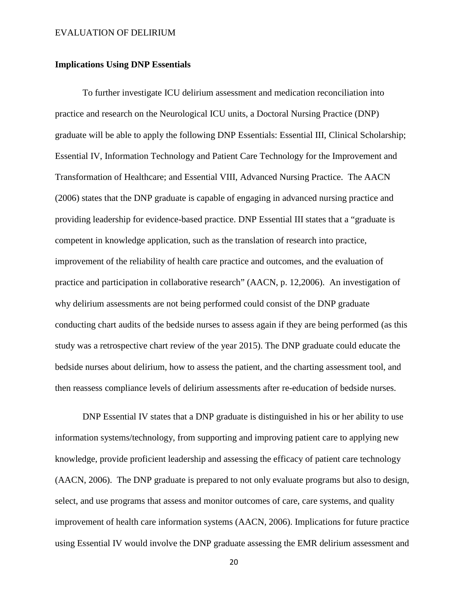## **Implications Using DNP Essentials**

To further investigate ICU delirium assessment and medication reconciliation into practice and research on the Neurological ICU units, a Doctoral Nursing Practice (DNP) graduate will be able to apply the following DNP Essentials: Essential III, Clinical Scholarship; Essential IV, Information Technology and Patient Care Technology for the Improvement and Transformation of Healthcare; and Essential VIII, Advanced Nursing Practice. The AACN (2006) states that the DNP graduate is capable of engaging in advanced nursing practice and providing leadership for evidence-based practice. DNP Essential III states that a "graduate is competent in knowledge application, such as the translation of research into practice, improvement of the reliability of health care practice and outcomes, and the evaluation of practice and participation in collaborative research" (AACN, p. 12,2006). An investigation of why delirium assessments are not being performed could consist of the DNP graduate conducting chart audits of the bedside nurses to assess again if they are being performed (as this study was a retrospective chart review of the year 2015). The DNP graduate could educate the bedside nurses about delirium, how to assess the patient, and the charting assessment tool, and then reassess compliance levels of delirium assessments after re-education of bedside nurses.

DNP Essential IV states that a DNP graduate is distinguished in his or her ability to use information systems/technology, from supporting and improving patient care to applying new knowledge, provide proficient leadership and assessing the efficacy of patient care technology (AACN, 2006). The DNP graduate is prepared to not only evaluate programs but also to design, select, and use programs that assess and monitor outcomes of care, care systems, and quality improvement of health care information systems (AACN, 2006). Implications for future practice using Essential IV would involve the DNP graduate assessing the EMR delirium assessment and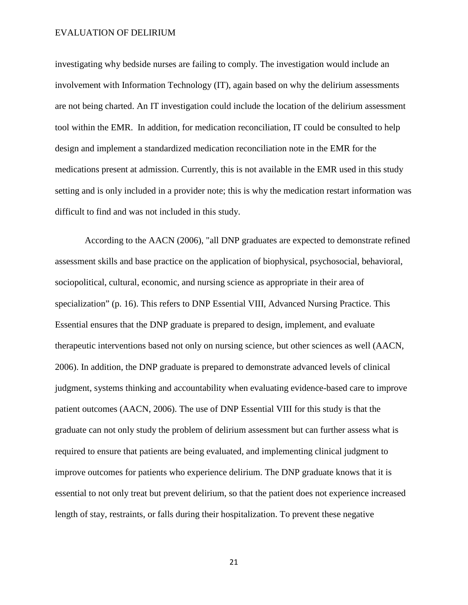investigating why bedside nurses are failing to comply. The investigation would include an involvement with Information Technology (IT), again based on why the delirium assessments are not being charted. An IT investigation could include the location of the delirium assessment tool within the EMR. In addition, for medication reconciliation, IT could be consulted to help design and implement a standardized medication reconciliation note in the EMR for the medications present at admission. Currently, this is not available in the EMR used in this study setting and is only included in a provider note; this is why the medication restart information was difficult to find and was not included in this study.

According to the AACN (2006), "all DNP graduates are expected to demonstrate refined assessment skills and base practice on the application of biophysical, psychosocial, behavioral, sociopolitical, cultural, economic, and nursing science as appropriate in their area of specialization" (p. 16). This refers to DNP Essential VIII, Advanced Nursing Practice. This Essential ensures that the DNP graduate is prepared to design, implement, and evaluate therapeutic interventions based not only on nursing science, but other sciences as well (AACN, 2006). In addition, the DNP graduate is prepared to demonstrate advanced levels of clinical judgment, systems thinking and accountability when evaluating evidence-based care to improve patient outcomes (AACN, 2006). The use of DNP Essential VIII for this study is that the graduate can not only study the problem of delirium assessment but can further assess what is required to ensure that patients are being evaluated, and implementing clinical judgment to improve outcomes for patients who experience delirium. The DNP graduate knows that it is essential to not only treat but prevent delirium, so that the patient does not experience increased length of stay, restraints, or falls during their hospitalization. To prevent these negative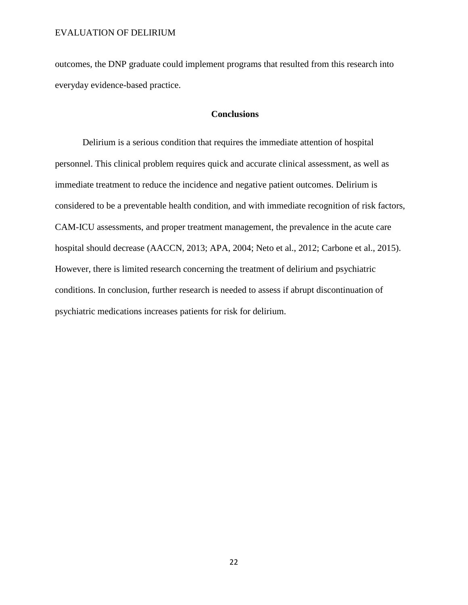outcomes, the DNP graduate could implement programs that resulted from this research into everyday evidence-based practice.

# **Conclusions**

Delirium is a serious condition that requires the immediate attention of hospital personnel. This clinical problem requires quick and accurate clinical assessment, as well as immediate treatment to reduce the incidence and negative patient outcomes. Delirium is considered to be a preventable health condition, and with immediate recognition of risk factors, CAM-ICU assessments, and proper treatment management, the prevalence in the acute care hospital should decrease (AACCN, 2013; APA, 2004; Neto et al., 2012; Carbone et al., 2015). However, there is limited research concerning the treatment of delirium and psychiatric conditions. In conclusion, further research is needed to assess if abrupt discontinuation of psychiatric medications increases patients for risk for delirium.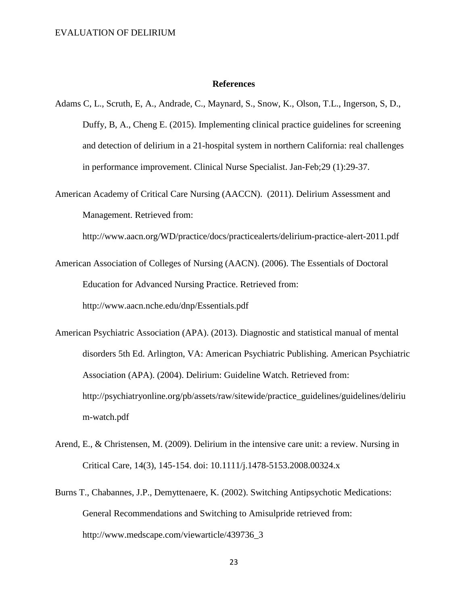### **References**

- Adams C, L., Scruth, E, A., Andrade, C., Maynard, S., Snow, K., Olson, T.L., Ingerson, S, D., Duffy, B, A., Cheng E. (2015). Implementing clinical practice guidelines for screening and detection of delirium in a 21-hospital system in northern California: real challenges in performance improvement. Clinical Nurse Specialist. Jan-Feb;29 (1):29-37.
- American Academy of Critical Care Nursing (AACCN). (2011). Delirium Assessment and Management. Retrieved from:

http://www.aacn.org/WD/practice/docs/practicealerts/delirium-practice-alert-2011.pdf

- American Association of Colleges of Nursing (AACN). (2006). The Essentials of Doctoral Education for Advanced Nursing Practice. Retrieved from: http://www.aacn.nche.edu/dnp/Essentials.pdf
- American Psychiatric Association (APA). (2013). Diagnostic and statistical manual of mental disorders 5th Ed. Arlington, VA: American Psychiatric Publishing. American Psychiatric Association (APA). (2004). Delirium: Guideline Watch. Retrieved from: http://psychiatryonline.org/pb/assets/raw/sitewide/practice\_guidelines/guidelines/deliriu m-watch.pdf
- Arend, E., & Christensen, M. (2009). Delirium in the intensive care unit: a review. Nursing in Critical Care, 14(3), 145-154. doi: 10.1111/j.1478-5153.2008.00324.x
- Burns T., Chabannes, J.P., Demyttenaere, K. (2002). Switching Antipsychotic Medications: General Recommendations and Switching to Amisulpride retrieved from: http://www.medscape.com/viewarticle/439736\_3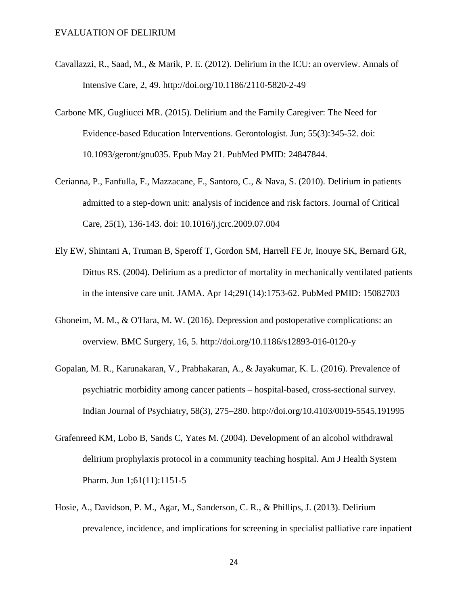- Cavallazzi, R., Saad, M., & Marik, P. E. (2012). Delirium in the ICU: an overview. Annals of Intensive Care, 2, 49. http://doi.org/10.1186/2110-5820-2-49
- Carbone MK, Gugliucci MR. (2015). Delirium and the Family Caregiver: The Need for Evidence-based Education Interventions. Gerontologist. Jun; 55(3):345-52. doi: 10.1093/geront/gnu035. Epub May 21. PubMed PMID: 24847844.
- Cerianna, P., Fanfulla, F., Mazzacane, F., Santoro, C., & Nava, S. (2010). Delirium in patients admitted to a step-down unit: analysis of incidence and risk factors. Journal of Critical Care, 25(1), 136-143. doi: 10.1016/j.jcrc.2009.07.004
- Ely EW, Shintani A, Truman B, Speroff T, Gordon SM, Harrell FE Jr, Inouye SK, Bernard GR, Dittus RS. (2004). Delirium as a predictor of mortality in mechanically ventilated patients in the intensive care unit. JAMA. Apr 14;291(14):1753-62. PubMed PMID: 15082703
- Ghoneim, M. M., & O'Hara, M. W. (2016). Depression and postoperative complications: an overview. BMC Surgery, 16, 5. http://doi.org/10.1186/s12893-016-0120-y
- Gopalan, M. R., Karunakaran, V., Prabhakaran, A., & Jayakumar, K. L. (2016). Prevalence of psychiatric morbidity among cancer patients – hospital-based, cross-sectional survey. Indian Journal of Psychiatry, 58(3), 275–280. http://doi.org/10.4103/0019-5545.191995
- Grafenreed KM, Lobo B, Sands C, Yates M. (2004). Development of an alcohol withdrawal delirium prophylaxis protocol in a community teaching hospital. Am J Health System Pharm. Jun 1;61(11):1151-5
- Hosie, A., Davidson, P. M., Agar, M., Sanderson, C. R., & Phillips, J. (2013). Delirium prevalence, incidence, and implications for screening in specialist palliative care inpatient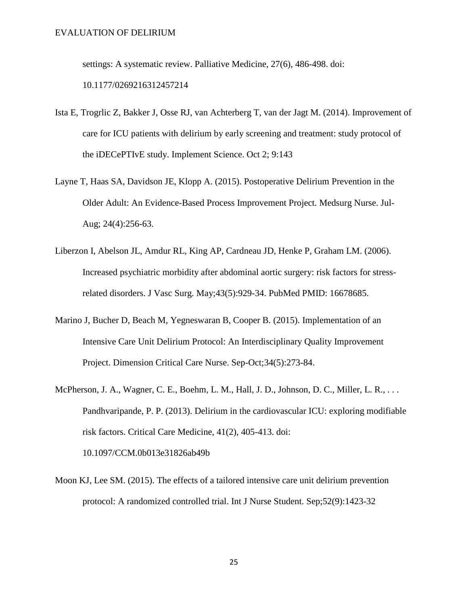settings: A systematic review. Palliative Medicine, 27(6), 486-498. doi:

10.1177/0269216312457214

- Ista E, Trogrlic Z, Bakker J, Osse RJ, van Achterberg T, van der Jagt M. (2014). Improvement of care for ICU patients with delirium by early screening and treatment: study protocol of the iDECePTIvE study. Implement Science. Oct 2; 9:143
- Layne T, Haas SA, Davidson JE, Klopp A. (2015). Postoperative Delirium Prevention in the Older Adult: An Evidence-Based Process Improvement Project. Medsurg Nurse. Jul-Aug; 24(4):256-63.
- Liberzon I, Abelson JL, Amdur RL, King AP, Cardneau JD, Henke P, Graham LM. (2006). Increased psychiatric morbidity after abdominal aortic surgery: risk factors for stressrelated disorders. J Vasc Surg. May;43(5):929-34. PubMed PMID: 16678685.
- Marino J, Bucher D, Beach M, Yegneswaran B, Cooper B. (2015). Implementation of an Intensive Care Unit Delirium Protocol: An Interdisciplinary Quality Improvement Project. Dimension Critical Care Nurse. Sep-Oct;34(5):273-84.
- McPherson, J. A., Wagner, C. E., Boehm, L. M., Hall, J. D., Johnson, D. C., Miller, L. R., . . . Pandhvaripande, P. P. (2013). Delirium in the cardiovascular ICU: exploring modifiable risk factors. Critical Care Medicine, 41(2), 405-413. doi: 10.1097/CCM.0b013e31826ab49b
- Moon KJ, Lee SM. (2015). The effects of a tailored intensive care unit delirium prevention protocol: A randomized controlled trial. Int J Nurse Student. Sep;52(9):1423-32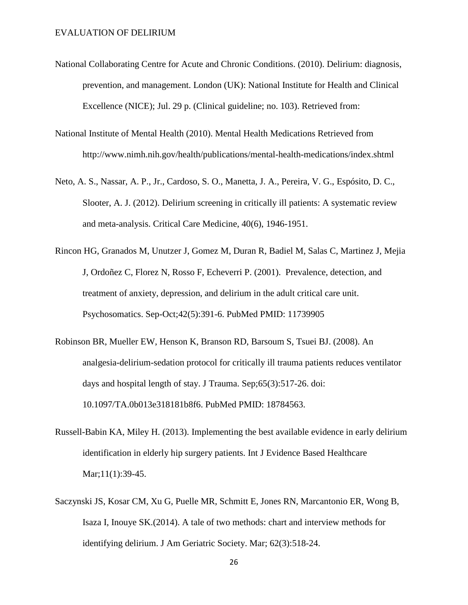- National Collaborating Centre for Acute and Chronic Conditions. (2010). Delirium: diagnosis, prevention, and management. London (UK): National Institute for Health and Clinical Excellence (NICE); Jul. 29 p. (Clinical guideline; no. 103). Retrieved from:
- National Institute of Mental Health (2010). Mental Health Medications Retrieved from http://www.nimh.nih.gov/health/publications/mental-health-medications/index.shtml
- Neto, A. S., Nassar, A. P., Jr., Cardoso, S. O., Manetta, J. A., Pereira, V. G., Espósito, D. C., Slooter, A. J. (2012). Delirium screening in critically ill patients: A systematic review and meta-analysis. Critical Care Medicine, 40(6), 1946-1951.
- Rincon HG, Granados M, Unutzer J, Gomez M, Duran R, Badiel M, Salas C, Martinez J, Mejia J, Ordoñez C, Florez N, Rosso F, Echeverri P. (2001). Prevalence, detection, and treatment of anxiety, depression, and delirium in the adult critical care unit. Psychosomatics. Sep-Oct;42(5):391-6. PubMed PMID: 11739905
- Robinson BR, Mueller EW, Henson K, Branson RD, Barsoum S, Tsuei BJ. (2008). An analgesia-delirium-sedation protocol for critically ill trauma patients reduces ventilator days and hospital length of stay. J Trauma. Sep;65(3):517-26. doi: 10.1097/TA.0b013e318181b8f6. PubMed PMID: 18784563.
- Russell-Babin KA, Miley H. (2013). Implementing the best available evidence in early delirium identification in elderly hip surgery patients. Int J Evidence Based Healthcare Mar;11(1):39-45.
- Saczynski JS, Kosar CM, Xu G, Puelle MR, Schmitt E, Jones RN, Marcantonio ER, Wong B, Isaza I, Inouye SK.(2014). A tale of two methods: chart and interview methods for identifying delirium. J Am Geriatric Society. Mar; 62(3):518-24.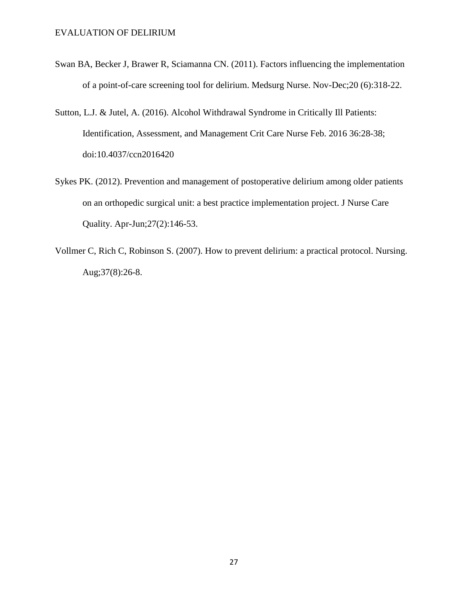- Swan BA, Becker J, Brawer R, Sciamanna CN. (2011). Factors influencing the implementation of a point-of-care screening tool for delirium. Medsurg Nurse. Nov-Dec;20 (6):318-22.
- Sutton, L.J. & Jutel, A. (2016). Alcohol Withdrawal Syndrome in Critically Ill Patients: Identification, Assessment, and Management Crit Care Nurse Feb. 2016 36:28-38; doi:10.4037/ccn2016420
- Sykes PK. (2012). Prevention and management of postoperative delirium among older patients on an orthopedic surgical unit: a best practice implementation project. J Nurse Care Quality. Apr-Jun;27(2):146-53.
- Vollmer C, Rich C, Robinson S. (2007). How to prevent delirium: a practical protocol. Nursing. Aug;37(8):26-8.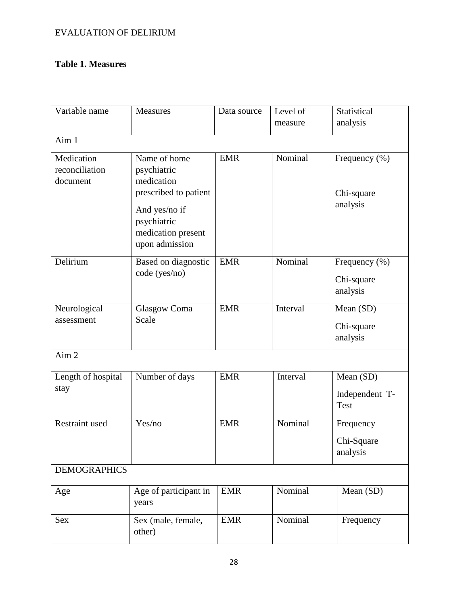# **Table 1. Measures**

| Variable name                            | <b>Measures</b>                                                      | Data source | Level of<br>measure | Statistical<br>analysis                     |  |  |  |  |  |  |
|------------------------------------------|----------------------------------------------------------------------|-------------|---------------------|---------------------------------------------|--|--|--|--|--|--|
| Aim 1                                    |                                                                      |             |                     |                                             |  |  |  |  |  |  |
| Medication<br>reconciliation<br>document | Name of home<br>psychiatric<br>medication<br>prescribed to patient   | <b>EMR</b>  | Nominal             | Frequency $(\% )$<br>Chi-square<br>analysis |  |  |  |  |  |  |
|                                          | And yes/no if<br>psychiatric<br>medication present<br>upon admission |             |                     |                                             |  |  |  |  |  |  |
| Delirium                                 | Based on diagnostic<br>code (yes/no)                                 | <b>EMR</b>  | Nominal             | Frequency $(\% )$<br>Chi-square<br>analysis |  |  |  |  |  |  |
| Neurological<br>assessment               | Glasgow Coma<br>Scale                                                | <b>EMR</b>  | Interval            | Mean (SD)<br>Chi-square<br>analysis         |  |  |  |  |  |  |
| Aim <sub>2</sub>                         |                                                                      |             |                     |                                             |  |  |  |  |  |  |
| Length of hospital<br>stay               | Number of days                                                       | <b>EMR</b>  | Interval            | Mean (SD)<br>Independent T-<br><b>Test</b>  |  |  |  |  |  |  |
| <b>Restraint used</b>                    | Yes/no                                                               | <b>EMR</b>  | Nominal             | Frequency<br>Chi-Square<br>analysis         |  |  |  |  |  |  |
| <b>DEMOGRAPHICS</b>                      |                                                                      |             |                     |                                             |  |  |  |  |  |  |
| Age                                      | Age of participant in<br>years                                       | <b>EMR</b>  | Nominal             | Mean (SD)                                   |  |  |  |  |  |  |
| <b>Sex</b>                               | Sex (male, female,<br>other)                                         | <b>EMR</b>  | Nominal             | Frequency                                   |  |  |  |  |  |  |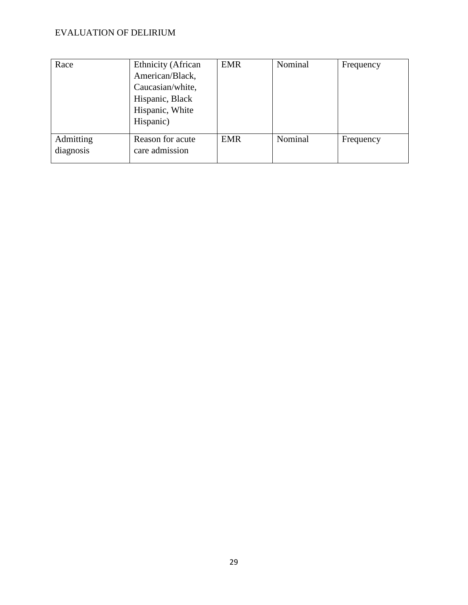| Race                   | <b>Ethnicity</b> (African<br>American/Black,<br>Caucasian/white,<br>Hispanic, Black<br>Hispanic, White<br>Hispanic) | <b>EMR</b> | Nominal | Frequency |
|------------------------|---------------------------------------------------------------------------------------------------------------------|------------|---------|-----------|
| Admitting<br>diagnosis | Reason for acute<br>care admission                                                                                  | <b>EMR</b> | Nominal | Frequency |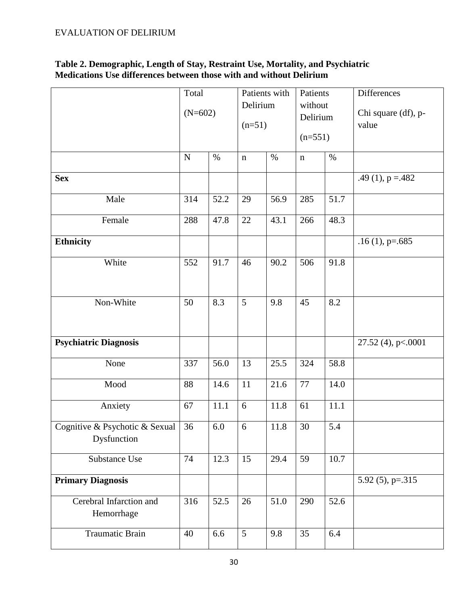# **Table 2. Demographic, Length of Stay, Restraint Use, Mortality, and Psychiatric Medications Use differences between those with and without Delirium**

|                                               | Total<br>$(N=602)$ |          | Patients with<br>Delirium<br>$(n=51)$ |      | Patients<br>without<br>Delirium<br>$(n=551)$ |      | Differences<br>Chi square (df), p-<br>value |
|-----------------------------------------------|--------------------|----------|---------------------------------------|------|----------------------------------------------|------|---------------------------------------------|
|                                               | ${\bf N}$          | $\%$     | $\mathbf n$                           | $\%$ | $\mathbf n$                                  | $\%$ |                                             |
| <b>Sex</b>                                    |                    |          |                                       |      |                                              |      | .49 (1), $p = 482$                          |
| Male                                          | 314                | 52.2     | 29                                    | 56.9 | 285                                          | 51.7 |                                             |
| Female                                        | 288                | 47.8     | 22                                    | 43.1 | 266                                          | 48.3 |                                             |
| <b>Ethnicity</b>                              |                    |          |                                       |      |                                              |      | $.16(1)$ , p=.685                           |
| White                                         | 552                | 91.7     | 46                                    | 90.2 | 506                                          | 91.8 |                                             |
| Non-White                                     | 50                 | 8.3      | 5                                     | 9.8  | 45                                           | 8.2  |                                             |
| <b>Psychiatric Diagnosis</b>                  |                    |          |                                       |      |                                              |      | 27.52 (4), p<.0001                          |
| None                                          | 337                | 56.0     | 13                                    | 25.5 | 324                                          | 58.8 |                                             |
| Mood                                          | 88                 | 14.6     | 11                                    | 21.6 | $77\,$                                       | 14.0 |                                             |
| Anxiety                                       | 67                 | $11.1\,$ | 6                                     | 11.8 | 61                                           | 11.1 |                                             |
| Cognitive & Psychotic & Sexual<br>Dysfunction | 36                 | 6.0      | 6                                     | 11.8 | 30                                           | 5.4  |                                             |
| Substance Use                                 | 74                 | 12.3     | 15                                    | 29.4 | 59                                           | 10.7 |                                             |
| <b>Primary Diagnosis</b>                      |                    |          |                                       |      |                                              |      | 5.92 $(5)$ , p=.315                         |
| Cerebral Infarction and<br>Hemorrhage         | 316                | 52.5     | 26                                    | 51.0 | 290                                          | 52.6 |                                             |
| Traumatic Brain                               | 40                 | 6.6      | 5                                     | 9.8  | 35                                           | 6.4  |                                             |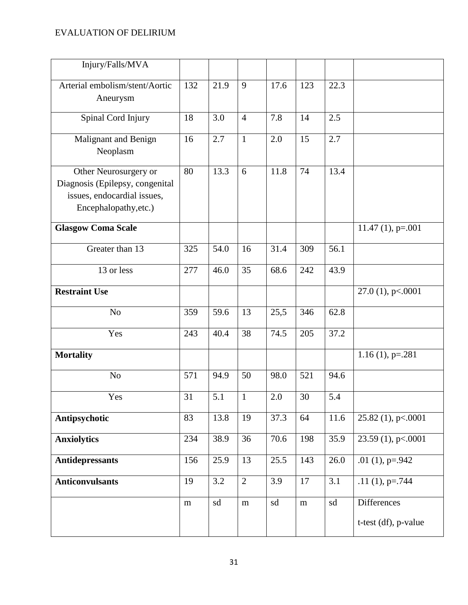| Injury/Falls/MVA                                                                                                 |                 |      |                |      |           |      |                                            |
|------------------------------------------------------------------------------------------------------------------|-----------------|------|----------------|------|-----------|------|--------------------------------------------|
| Arterial embolism/stent/Aortic<br>Aneurysm                                                                       | 132             | 21.9 | 9              | 17.6 | 123       | 22.3 |                                            |
| Spinal Cord Injury                                                                                               | 18              | 3.0  | $\overline{4}$ | 7.8  | 14        | 2.5  |                                            |
| Malignant and Benign<br>Neoplasm                                                                                 | 16              | 2.7  | $\mathbf{1}$   | 2.0  | 15        | 2.7  |                                            |
| Other Neurosurgery or<br>Diagnosis (Epilepsy, congenital<br>issues, endocardial issues,<br>Encephalopathy, etc.) | 80              | 13.3 | 6              | 11.8 | 74        | 13.4 |                                            |
| <b>Glasgow Coma Scale</b>                                                                                        |                 |      |                |      |           |      | $11.47(1)$ , p=.001                        |
| Greater than 13                                                                                                  | 325             | 54.0 | 16             | 31.4 | 309       | 56.1 |                                            |
| 13 or less                                                                                                       | 277             | 46.0 | 35             | 68.6 | 242       | 43.9 |                                            |
| <b>Restraint Use</b>                                                                                             |                 |      |                |      |           |      | 27.0 (1), p <. 0001                        |
| N <sub>o</sub>                                                                                                   | 359             | 59.6 | 13             | 25,5 | 346       | 62.8 |                                            |
| Yes                                                                                                              | 243             | 40.4 | 38             | 74.5 | 205       | 37.2 |                                            |
| <b>Mortality</b>                                                                                                 |                 |      |                |      |           |      | $1.16(1)$ , p=.281                         |
| N <sub>o</sub>                                                                                                   | 571             | 94.9 | 50             | 98.0 | 521       | 94.6 |                                            |
| Yes                                                                                                              | 31              | 5.1  | $\mathbf{1}$   | 2.0  | $30\,$    | 5.4  |                                            |
| Antipsychotic                                                                                                    | $\overline{83}$ | 13.8 | 19             | 37.3 | 64        | 11.6 | 25.82 (1), p<.0001                         |
| <b>Anxiolytics</b>                                                                                               | 234             | 38.9 | 36             | 70.6 | 198       | 35.9 | 23.59 (1), p<.0001                         |
| <b>Antidepressants</b>                                                                                           | 156             | 25.9 | 13             | 25.5 | 143       | 26.0 | .01 $(1)$ , p=.942                         |
| <b>Anticonvulsants</b>                                                                                           | 19              | 3.2  | $\overline{2}$ | 3.9  | 17        | 3.1  | .11 $(1)$ , p=.744                         |
|                                                                                                                  | ${\bf m}$       | sd   | ${\bf m}$      | sd   | ${\rm m}$ | sd   | <b>Differences</b><br>t-test (df), p-value |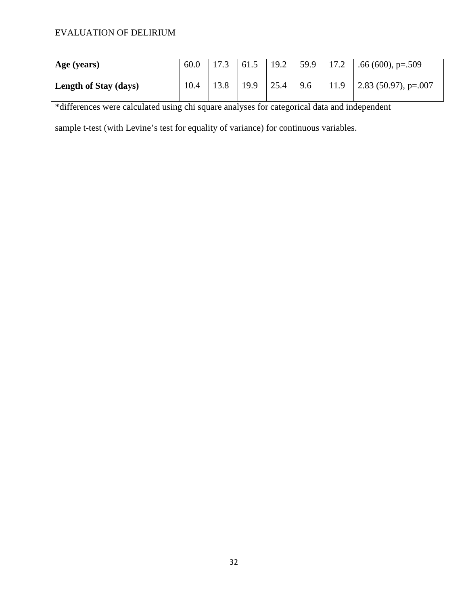| Age (years)                  | 60.0 |      | 61.5 | 19.2 | 59.9 | 17.2 | .66 (600), $p=.509$    |
|------------------------------|------|------|------|------|------|------|------------------------|
| <b>Length of Stay (days)</b> | 10.4 | 13.8 | 19.9 | 25.4 | 9.6  | 11.9 | $2.83$ (50.97), p=.007 |

\*differences were calculated using chi square analyses for categorical data and independent

sample t-test (with Levine's test for equality of variance) for continuous variables.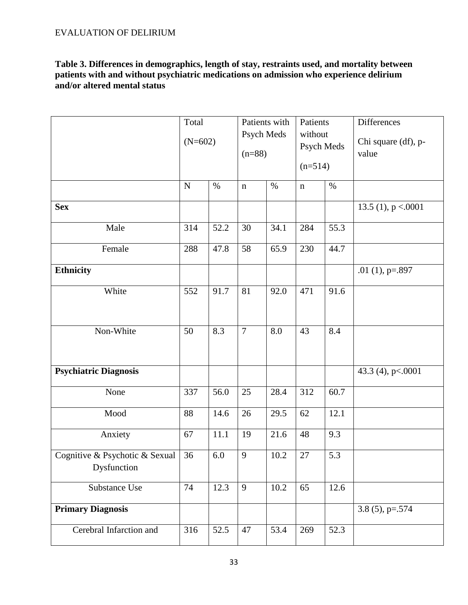**Table 3. Differences in demographics, length of stay, restraints used, and mortality between patients with and without psychiatric medications on admission who experience delirium and/or altered mental status** 

|                                               | Total<br>$(N=602)$ |      | Patients with<br>Psych Meds<br>$(n=88)$ |      | Patients<br>without<br>Psych Meds<br>$(n=514)$ |      | Differences<br>Chi square (df), p-<br>value |
|-----------------------------------------------|--------------------|------|-----------------------------------------|------|------------------------------------------------|------|---------------------------------------------|
|                                               | $\mathbf N$        | $\%$ | $\mathbf n$                             | $\%$ | $\mathbf n$                                    | $\%$ |                                             |
| <b>Sex</b>                                    |                    |      |                                         |      |                                                |      | 13.5 (1), $p < .0001$                       |
| Male                                          | 314                | 52.2 | 30                                      | 34.1 | 284                                            | 55.3 |                                             |
| Female                                        | 288                | 47.8 | $\overline{58}$                         | 65.9 | 230                                            | 44.7 |                                             |
| Ethnicity                                     |                    |      |                                         |      |                                                |      | .01 $(1)$ , p=.897                          |
| White                                         | 552                | 91.7 | 81                                      | 92.0 | 471                                            | 91.6 |                                             |
| Non-White                                     | 50                 | 8.3  | $\overline{7}$                          | 8.0  | 43                                             | 8.4  |                                             |
| <b>Psychiatric Diagnosis</b>                  |                    |      |                                         |      |                                                |      | 43.3 (4), p <. 0001                         |
| None                                          | 337                | 56.0 | 25                                      | 28.4 | 312                                            | 60.7 |                                             |
| Mood                                          | 88                 | 14.6 | 26                                      | 29.5 | 62                                             | 12.1 |                                             |
| Anxiety                                       | 67                 | 11.1 | 19                                      | 21.6 | 48                                             | 9.3  |                                             |
| Cognitive & Psychotic & Sexual<br>Dysfunction | 36                 | 6.0  | 9                                       | 10.2 | 27                                             | 5.3  |                                             |
| Substance Use                                 | 74                 | 12.3 | 9                                       | 10.2 | 65                                             | 12.6 |                                             |
| <b>Primary Diagnosis</b>                      |                    |      |                                         |      |                                                |      | 3.8 $(5)$ , p=.574                          |
| Cerebral Infarction and                       | 316                | 52.5 | 47                                      | 53.4 | 269                                            | 52.3 |                                             |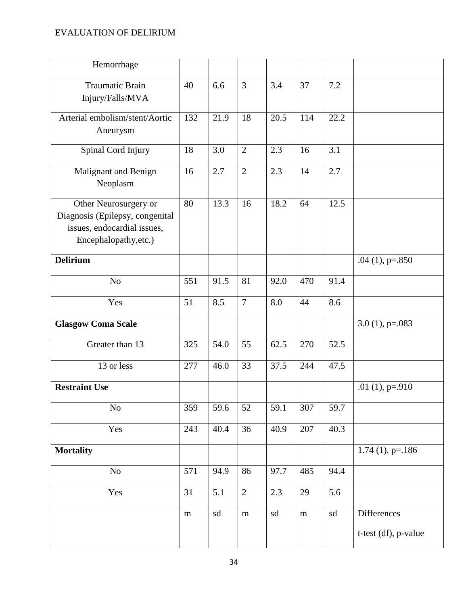| Hemorrhage                                                                                                       |           |      |                |      |           |      |                      |
|------------------------------------------------------------------------------------------------------------------|-----------|------|----------------|------|-----------|------|----------------------|
| Traumatic Brain<br>Injury/Falls/MVA                                                                              | 40        | 6.6  | $\overline{3}$ | 3.4  | 37        | 7.2  |                      |
| Arterial embolism/stent/Aortic<br>Aneurysm                                                                       | 132       | 21.9 | 18             | 20.5 | 114       | 22.2 |                      |
| Spinal Cord Injury                                                                                               | 18        | 3.0  | $\overline{2}$ | 2.3  | 16        | 3.1  |                      |
| Malignant and Benign<br>Neoplasm                                                                                 | 16        | 2.7  | $\overline{2}$ | 2.3  | 14        | 2.7  |                      |
| Other Neurosurgery or<br>Diagnosis (Epilepsy, congenital<br>issues, endocardial issues,<br>Encephalopathy, etc.) | 80        | 13.3 | 16             | 18.2 | 64        | 12.5 |                      |
| <b>Delirium</b>                                                                                                  |           |      |                |      |           |      | .04 $(1)$ , p=.850   |
| N <sub>o</sub>                                                                                                   | 551       | 91.5 | 81             | 92.0 | 470       | 91.4 |                      |
| Yes                                                                                                              | 51        | 8.5  | $\overline{7}$ | 8.0  | 44        | 8.6  |                      |
| <b>Glasgow Coma Scale</b>                                                                                        |           |      |                |      |           |      | $3.0(1)$ , p=.083    |
| Greater than 13                                                                                                  | 325       | 54.0 | 55             | 62.5 | 270       | 52.5 |                      |
| 13 or less                                                                                                       | 277       | 46.0 | 33             | 37.5 | 244       | 47.5 |                      |
| <b>Restraint Use</b>                                                                                             |           |      |                |      |           |      | .01 $(1)$ , p=.910   |
| No                                                                                                               | 359       | 59.6 | 52             | 59.1 | 307       | 59.7 |                      |
| Yes                                                                                                              | 243       | 40.4 | 36             | 40.9 | 207       | 40.3 |                      |
| <b>Mortality</b>                                                                                                 |           |      |                |      |           |      | $1.74(1)$ , p=.186   |
| No                                                                                                               | 571       | 94.9 | 86             | 97.7 | 485       | 94.4 |                      |
| Yes                                                                                                              | 31        | 5.1  | $\overline{2}$ | 2.3  | 29        | 5.6  |                      |
|                                                                                                                  | ${\rm m}$ | sd   | m              | sd   | ${\rm m}$ | sd   | Differences          |
|                                                                                                                  |           |      |                |      |           |      | t-test (df), p-value |